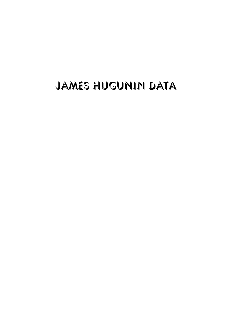# James Hugunin Data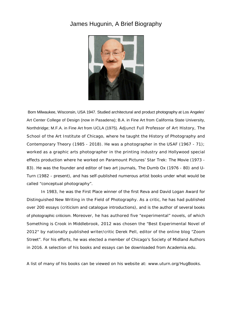## James Hugunin, A Brief Biography



 Born Milwaukee, Wisconsin, USA 1947. Studied architectural and product photography at Los Angeles' Art Center College of Design (now in Pasadena); B.A. in Fine Art from California State University, Northdridge; M.F.A. in Fine Art from UCLA (1975). Adjunct Full Professor of Art History, The School of the Art Institute of Chicago, where he taught the History of Photography and Contemporary Theory (1985 - 2018). He was a photographer in the USAF (1967 - 71); worked as a graphic arts photographer in the printing industry and Hollywood special effects production where he worked on Paramount Pictures' *Star Trek: The Movie* (1973 - 83). He was the founder and editor of two art journals, *The Dumb Ox* (1976 - 80) and *U-Turn* (1982 - present)*,* and has self-published numerous artist books under what would be called "conceptual photography".

In 1983, he was the First Place winner of the first Reva and David Logan Award for Distinguished New Writing in the Field of Photography. As a critic, he has had published over 200 essays (criticism and catalogue introductions), and is the author of several books of photographic criticism. Moreover, he has authored five "experimental" novels, of which *Something is Crook in Middlebrook,* 2012 was chosen the "Best Experimental Novel of 2012" by nationally published writer/critic Derek Pell, editor of the online blog "Zoom Street". For his efforts, he was elected a member of Chicago's Society of Midland Authors in 2016. A selection of his books and essays can be downloaded from *Academia.edu*.

A list of many of his books can be viewed on his website at: *www.uturn.org/HugBooks*.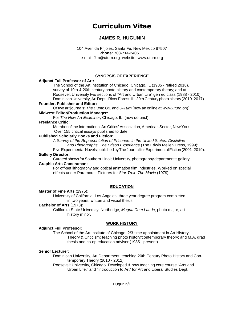## **Curriculum Vitae**

## **JAMES R. HUGUNIN**

104 Avenida Frijoles, Santa Fe, New Mexico 87507 **Phone:** 708-714-2406 e-mail: Jim@uturn.org website: www.uturn.org

#### **SYNOPSIS OF EXPERIENCE**

#### **Adjunct Full Professor of Art:**

The School of the Art Institution of Chicago, Chicago, IL (1985 - retired 2018). survey of 19th & 20th century photo history and contemporary theory; and at Roosevelt University two sections of "Art and Urban Life" gen ed class (1988 - 2010). Dominican University, Art Dept., River Forest, IL, 20th Centuryphoto history(2010 -2017).

#### **Founder, Publisher and Editor:**

Of two art journals: *The Dumb Ox*, and *U-Turn* (now an online at:*www.uturn.org*).

#### **Midwest Editor/Production Manager:**

For *The New Art Examiner*, Chicago, IL. (now defunct)

#### **Freelance Critic:**

Member of the International Art Critics' Association, American Sector, New York. Over 155 critical essays published to date.

#### **Published Scholarly Books and Fiction:**

*A Survey of the Representation of Prisoners in the United States: Discipline and Photographs, The Prison Experience* (The Edwin Mellen Press, 1999);

#### Five Experimental Novels published by The Journal for Experimental Fiction (2001-2019). **Gallery Director:**

Curated shows for Southern Illinois University, photographydepartment's gallery.

#### **Graphic Arts Cameraman:**

For off-set lithography and optical animation film industries. Worked on special effects under Paramount Pictures for *Star Trek: The Movie* (1979).

#### **EDUCATION**

#### **Master of Fine Arts** (1975)**:**

University of California, Los Angeles; three year degree program completed in two years; written and visual thesis.

#### **Bachelor of Arts** (1973)**:**

California State University, Northridge; *Magna Cum Laude*; photo major, art history minor.

#### **WORK HISTORY**

#### **Adjunct Full Professor:**

The School of the Art Institute of Chicago, 2/3-time appointment in Art History, Theory & Criticism; teaching photo history/contemporary theory; and M.A. grad thesis and co-op education advisor (1985 - present).

#### **Senior Lecturer:**

Dominican University, Art Department, teaching 20th Century Photo History and Contemporary Theory (2010 - 2012).

Roosevelt University, Chicago. Developed & now teaching core course "Arts and Urban Life," and "Introduction to Art" for Art and Liberal Studies Dept.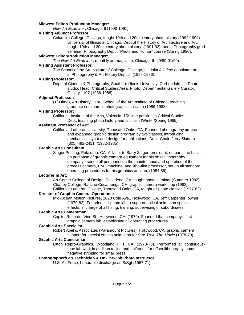#### **Midwest Editor/ Production Manager:**

*New Art Examiner*, Chicago, Il (1990-1991).

#### **Visiting Adjunct Professor:**

Columbia College, Chicago, taught 19th and 20th century photo history (1992-1994). University of Illinois at Chicago, Dept.of the History of Architecture and Art, taught 19th and 20th century photo history (1991-92); and a Photography grad seminar, Photography Dept., "Photo and Humor" course (Spring 1990).

#### **Midwest Editor/Production Manager:**

*The New Art Examiner*, monthly art magazine, Chicago, IL (9/89-01/90).

#### **Visiting Assistant Professor:**

The School of the Art Institute of Chicago, Chicago, IL; Joint *full-time* appointment in Photography & Art History Dept.'s. (1985-1986).

#### **Visiting Professor:**

Dept. of Cinema & Photography, Southern Illinois University, Carbondale, IL; Photo studio; Head, Critical Studies Area, Photo; Departmental Gallery Curator, Gallery 1107 (1986-1988).

#### **Adjunct Professor:**

(1/3 time), Art History Dept., School of the Art Institute of Chicago, teaching graduate seminars in photographic criticism (1986-1988).

#### **Visiting Professor:**

California Institute of the Arts, Valencia. 1/2-time position in Critical Studies Dept. teaching photo history and criticism (Winter/Spring 1985).

#### **Assistant Professor of Art:**

California Lutheran University, Thousand Oaks, CA; Founded photography program and expanded graphic design program by two classes, introducing mechanical layout and design for publications. Dept. Chair: Jerry Slattum (805) 492-2411; (1982-1985).

#### **Graphic Arts Consultant:**

Singer Printing, Petaluma, CA. Advisor to Barry Singer, president, on part time basis on purchase of graphic camera equipment for his offset lithography company; trained all personnel on the maintenance and operation of the process camera, PMT machine, and litho-film processor, set up all standard operating procedures for his graphics arts lab; (1984-85).

#### **Lecturer in Art:**

Art Center College of Design, Pasadena, CA, taught photo seminar (Summer 1982). Chaffey College, Rancho Cucamonga, CA, graphic camera workshop (1982). California Lutheran College, Thousand Oaks, CA, taught all photo classes (1977-82).

#### **Director of Graphic Camera Operations:**

Mid-Ocean Motion Pictures, 1020 Cole Ave., Hollywood, CA, Jeff Carpenter, owner; (1979-82). Founded still photo lab to support optical animation special effects; in charge of all hiring, training, supervising of subordinates.

#### **Graphic Arts Cameraman:**

Capitol Records, Vine St., Hollywood, CA; (1979). Founded that company's first graphic camera lab, establishing all operating procedures.

#### **Graphic Arts Specialist:**

Robert Abel & Associates (Paramount Pictures), Hollywood, CA; graphic camera support for special effects animation for *Star Trek: The Movie* (1978-79).

#### **Graphic Arts Cameraman:**

Litton Repro-Graphics, Woodland Hills, CA; (1973-78). Performed all continuoustone lab work in addition to line and halftones for offset lithography, some negative stripping for small press.

#### **Photographer/Lab Technician & On-The-Job Photo Instructor:**

U.S. Air Force, honorable discharge as S/Sgt (1967-71).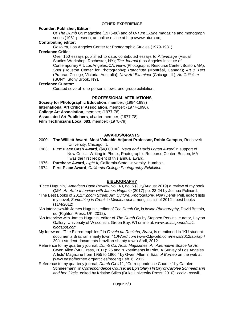#### **OTHER EXPERIENCE**

#### **Founder, Publisher, Editor**:

Of *The Dumb Ox* magazine (1976-80) and of *U-Turn E-zine* magazine and monograph series (1981-present), an online e-zine at http://www.uturn.org.

#### **Contributing editor:**

*Obscura*, Los Angeles Center for Photographic Studies (1979-1981).

#### **Freelance Critic:**

Over 150 essays published to date; contributed essays to *Afterimage* (Visual Studies Workshop, Rochester, NY); *The Journal* (Los Angeles Institute of ContemporaryArt, LosAngeles,CA;*Views* (Photographic Resource Center, Boston, MA); *Spot* (Houston Center for Photography); *Parachute* (Montrèal, Canada); *Art & Text* (Prahran College, Victoria, Australia); *New Art Examiner* (Chicago, IL); *Art Criticism* (SUNY, Stony Brook, NY).

#### **Freelance Curator:**

Curated several one-person shows, one group exhibition.

#### **PROFESSIONAL AFFILIATIONS**

**Society for Photographic Education**, member; (1984-1998) **International Art Critics' Association**, member; (1977-1990). **College Art Association**, member; (1977-78). **Associated Art Publishers**, charter member; (1977-78). **Film Technicians Local 683**, member; (1978-79).

#### **AWARDS/GRANTS**

- 2000 **The Willlett Award, Most Valuable Adjunct Professor, Robin Campus**, Roosevelt University, Chicago, IL
- 1983 **First Place Cash Award**, (\$4,000.00), *Reva and David Logan Award* in support of New Critical Writing in Photo., Photographic Resource Center, Boston, MA I was the first recipient of this annual award.
- 1976 **Purchase Award**, *Light II*, California State University, Humbolt.
- 1974 **First Place Award**, *California College Photography Exhibition*.

#### **BIBLIOGRAPHY**

- "Ecce Hugunin," *American Book Review*, vol. 40, no. 5 (July/August 2019) a review of my book *Q&A: An Auto-Interview with James Hugunin* (2017) pp. 23-24 by Joshua Polinard.
- "The Best Books of 2012," *Zoom Street: Art, Culture, Photography, Noir* (Derek Pell, editor) lists my novel, *Something is Crook in Middlebrook* among it's list of 2012's best books (11/4/2012).
- "An Interview with James Hugunin, editor of *The Dumb Ox*, in *Inside Photography*, David Brittain, ed.(Righton Press, UK, 2012).
- "An Interview with James Hugunin, editor of *The Dumb Ox* by Stephen Perkins, curator, Layton Gallery, University of Wisconsin, Green Bay, WI online at: *www.artistsperiodicals. blogspot.com*.
- My foreword, "The Extremeophiles," in *Favela da Rocinha, Brazil*, is mentioned in "KU student documents Brazilian shanty town," *LJWord.com* (www2.ljworld.com/news/2012/apr/apr/ 29/ku-student-documents-brazilian-shanty-town) April, 2012.
- Reference to my quarterly journal, *Dumb Ox, Artist Magazines: An Alternative Space for Art,*  Gwen Allen (MIT Press, 2011): 26 and "Experiments in Print: A Survey of Los Angeles Artists' Magazine from 1955 to 1966," by Gwen Allen in *East of Borneo* on the web at (www.eastofborneo.org/articles/recent) Feb. 6, 2012.
- Reference to my quarterly journal, *Dumb Ox* #11, "Correspondence Course," by Carolee Schneemann, in *Correspondence Course: an Epistolary History of Carolee Schneemann and her Circle,* edited by Kristine Stiles (Duke University Press: 2010): xxxiv - xxxviii.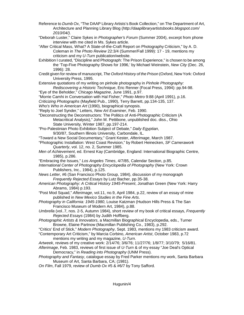Reference to *Dumb Ox*, "The DAAP Library Artists's Book Collection," on The Department of Art, Architecture and Planning Library Blog (*http://daaplibraryartistsbooks.blogspot.com/ 2010/04/).*

"Deborah Luster," Claire Sykes in *Photographer's Forum* (Summer 2004), excerpt from phone interview with me cited in Ms. Sykes article.

"After Critical Mass, What? A State-of-the-Craft Report on Photography Criticism," by A. D. Coleman in *The Photo Review* 22:3/4 (Summer/Fall 1999): 17 - 19, mentions my criticism and my *U-Turn* publication/website.

Exhibition I curated, "Discipline and Photograph: The Prison Experience," is chosen to be among the 'Top-Five Photography Shows for 1996,' by Michael Weinstein, *New City* (Dec. 26, 1996): 28.

Credit given for review of manuscript, *The Oxford History of the Prison* (Oxford, New York: Oxford University Press, 1995.

Extensive quotations of my writing on pinhole photography in *Pinhole Photography: Rediscovering a Historic Technique*, Eric Renner (Focal Press, 1994): pp.94-98.

"Eye of the Beholder," *Chicago Magazine*, June 1991, p.97.

"Morrie Camhi in Conversation with Hal Fisher," *Photo Metro* 9:88 (April 1991), p.16.

*Criticizing Photographs* (Mayfield Pub., 1990), Terry Barrett, pp.134-135, 137.

*Who's Who in American Art* (1990), biographical synopsis.

- "Reply to Joel Synder," Letters, *New Art Examiner*, Feb. 1990.
- "Deconstructing the Deconstructors: The Politics of Anti-Photographic Criticism (A Metacritical Analysis)," John M. Pettibone, unpublished doc. diss., Ohio State University, Winter 1987, pp.197-214.
- "Pro-Palestinian Photo Exhibition Subject of Debate," *Daily Egyptian*, 9/30/87, Southern Illinois University, Carbondale, IL.

"Toward a New Social Documentary," Grant Kester, *Afterimage*, March 1987.

- "Photographic Installation: West Coast Revision," by Robert Heinecken, *SF Camerawork Quarterly*, vol. 12, no. 2, Summer 1985.
- *Men of Achievement*, ed. Ernest Kay (Cambridge, England: International Biographic Centre, 1985), p.286.

"Embracing the Issues," *Los Angeles Times*, 4/7/85, Calendar Section, p.85.

*International Center of Photography Encyclopedia of Photography* (New York: Crown Publishers, Inc., 1984), p.125.

*News Letter*, #6 (San Francisco Photo Group, 1984), discussion of my monograph *Frequently Rejected Essays* by Lutz Bacher, pp.35-38.

*American Photography: A Critical History 1945-Present*, Jonathan Green (New York: Harry Abrams, 1984) p.193.

"Post Mod Squad," *Afterimage*, vol.11, no.9, April 1984, p.22, review of an essay of mine published in *New Mexico Studies in the Fine Arts*.

*Photography in California: 1945-1980*, Louise Katzman (Hudson Hills Press & The San Francisco Museum of Modern Art, 1984), p.88.

*Umbrella* (vol..7, nos. 2-5, Autumn 1984), short review of my book of critical essays, *Frequently Rejected Essays* (1984) by Judith Hoffberg.

*Photographic Artists & Innovators*, a Macmillan Biographical Encyclopedia, eds., Turner Browne, Elaine Partnow (Macmillan Publishing Co., 1983), p.292.

"Critics' End of Stick," *Modern Photography*, Sept. 1983, mentions my 1983 criticism award.

"Contemporary Art Criticism," by Marcia Corbino, *American Artist*, October 1983, p.72 mentions my writing and my magazine, *U-Turn*.

*Artweek*, reviews of my creative work: 2/14/76; 3/6/76; 11/27/76; 1/8/77; 3/10/79; 5/16/81.

*Afterimage*, Feb. 1983, reviews of first issue of *U-Turn* & of my essay "Joe Deal's Optical Democracy," in *Reading into Photography* (UNM Press).

*Photography and Fantasy*, catalogue essay by Fred Parker mentions my work, Santa Barbara Museum of Art, Santa Barbara, CA; (1981).

*On Film*, Fall 1979, review of *Dumb Ox* #5 & #6/7 by Tony Safford.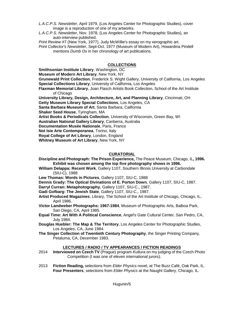- *L.A.C.P.S. Newsletter*, April 1979, (Los Angeles Center for Photographic Studies), cover image is a reproduction of one of my artworks.
- *L.A.C.P.S. Newsletter*, Nov. 1978, (Los Angeles Center for Photographic Studies), an auto-interview published.

*Print Review* #7 (New York, 1977), Judy McWillie's essay on my xerographic art.

*Print Collector's Newsletter*, Sept-Oct. 1977 (Museum of Modern Art), Howardina Pindell mentions *Dumb Ox* in her chronology of art publications.

#### **COLLECTIONS**

**Smithsonian Institute Library**, Washington, DC

**Museum of Modern Art Library**, New York, NY

**Grunewald Print Collection**, Frederick S. Wight Gallery, University of California, Los Angeles **Special Collections Library**, University of California, Los Angeles

**Flaxman Memorial Library**, Joan Flasch Artists Book Collection, School of the Art Institute of Chicago

**University Library, Design, Architecture, Art, and Planning Library**, Cincinnati, OH

**Getty Museum Library Special Collections**, Los Angeles, CA

**Santa Barbara Museum of Art**, Santa Barbara, California

**Shaker Seed House**, Tyringham, MA

**Artist Books & Periodicals Collection**, University of Wisconsin, Green Bay, WI

**Australian National Gallery Library**, Canberra, Australia

**Documentation Musée Nationale**, Paris, France

**Not Isie Arte Contemporanea**, Torino, Italy

**Royal College of Art Library**, London, England

**Whitney Museum of Art Library**, New York, NY

#### **CURATORIAL**

- **Discipline and Photograph: The Prison Experience,** The Peace Museum, Chicago, IL**, 1996. Exhibit was chosen among the top five photography shows in 1996.**
- **William Delappa: Recent Work**, Gallery 1107, Southern Illinois University at Carbondale (SIU-C), 1988

**Lew Thomas: Words in Pictures**, Gallery 1107, SIU-C, 1988

**Dennis Grady: The Optical Divinations of E. Porton Down**, Gallery 1107, SIU-C, 1987.

**Darryl Curran: Metaphotography**, Gallery 1107, SIU-C., 1987.

**Gadi Gofbarg: The Jewish State**, Gallery 1107, SIU-C., 1987.

- **Artist Produced Magazines**, Library, The School of the Art Institute of Chicago, Chicago, IL, April 1986.
- **Victor Landweber Photographs: 1967-1984**, Museum of Photographic Arts, Balboa Park, San Diego, CA, April 1985.
- **Equal Time: Art With A Political Conscience**, Angel's Gate Cultural Center, San Pedro, CA, July 1984.
- **Douglas Huebler: The Map & The Territory**, Los Angeles Center for Photographic Studies, Los Angeles, CA, June 1984.
- **The Singer Collection of Twentieth Century Photography**, the Singer Printing Company, Petaluma, CA, December 1983.

#### **LECTURES / RADIO / TV APPEARANCES / FICTION READINGS**

- 2014 **Interviewed on Czech TV** (Prague) program *Kultura* on my judging of the Czech Photo Competition (I was one of eleven international jurors).
- 2013 **Fiction Reading***,* selections from *Elder Physics* novel, at The Buzz Café, Oak Park, IL. **Four Presenters**, selections from *Elder Physics* at the Naught Gallery, Chicago, IL.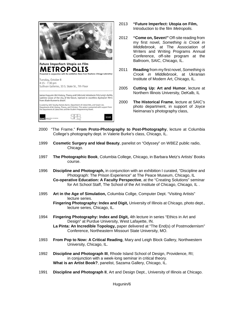

- 2013 **"Future Imperfect: Utopia on Film,**  Introduction to the film *Metropolis.*
- 2012 **"Come on, Seven!"** Off-site reading from my first novel, *Something is Crook in Middlebrook*, at The Association of Writers and Writing Programs Annual Conference, off-site program at the Ballroom, SAIC, Chicago, IL.
- 2011 **Reading** from my first novel, *Something is Crook in Middlebrook*, at Ukranian Institute of Modern Art, Chicago, IL.
- 2005 **Cutting Up: Art and Humor**, lecture at Northern Illinois University, DeKalb, IL
- 2000 **The Historical Frame**, lecture at SAIC's photo department, in support of Joyce Neimanas's photography class,
- 2000 "The Frame." **From Proto-Photography to Post-Photography**, lecture at Columbia College's photography dept. in Valerie Burke's class, Chicago, IL.
- 1999 **Cosmetic Surgery and Ideal Beauty**, panelist on "Odyssey" on WBEZ public radio, Chicago.
- 1997 **The Photographic Book**, Columbia College, Chicago, in Barbara Metz's Artists' Books course.
- 1996 **Discipline and Photograph,** in conjunction with an exhibition I curated, "Discipline and Photograph: The Prison Experience" at The Peace Museum, Chicago, IL **Co-operative Education: A Faculty Perspective**, at the "Creating Solutions" seminar for Art School Staff, The School of the Art Institute of Chicago, Chicago, IL .
- 1995 **Art in the Age of Simulation,** Columbia Collge, Computer Dept. "Visiting Artists" lecture series.

**Fingering Photography: Index and Digit,** University of Illinois at Chicago, photo dept., lecture series, Chicago, IL.

- 1994 **Fingering Photography: Index and Digit,** 4th lecture in series "Ethics in Art and Design" at Purdue University, West Lafayette, IN.
	- **La Pinta: An Incredible Topology,** paper delivered at "The End(s) of Postmodernism" Conference, Northeastern Missouri State University, MO.
- 1993 **From Pop to Now: A Critical Reading**, Mary and Leigh Block Gallery, Northwestern University, Chicago, IL.
- 1992 **Discipline and Photograph III**, Rhode Island School of Design, Providence, RI; in conjunction with a week-long seminar in critical theory. **What is an Artist Book?**, panelist, Sazama Gallery, Chicago, IL.
- 1991 **Discipline and Photograph II**, Art and Design Dept., University of Illinois at Chicago.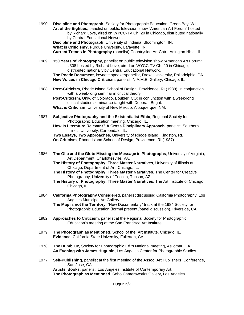1990 **Discipline and Photograph**, Society for Photographic Education, Green Bay, WI. **Art of the Eighties**, panelist on public television show "American Art Forum" hosted by Richard Love, aired on WYCC-TV Ch. 20 in Chicago, distributed nationally by Central Educational Network.

**Discipline and Photograph**, University of Indiana, Bloomington, IN. **What is Criticism?**, Purdue University, Lafayette, IN. **Current Trends in Photography** (panelist) Countryside Art Cntr., Arlington Hhts., IL.

1989 **150 Years of Photography**, panelist on public television show "American Art Forum" #308 hosted by Richard Love, aired on WYCC-TV Ch. 20 in Chicago, distributed nationally by Central Educational Network.

**The Poetic Document**, keynote speaker/panelist, Drexel University, Philadelphia, PA. **New Voices in Chicago Criticism**, panelist, N.A.M.E. Gallery, Chicago, IL.

1988 **Post-Criticism**, Rhode Island School of Design, Providence, RI (1988), in conjunction with a week-long seminar in critical theory.

**Post-Criticism**, Univ. of Colorado, Boulder, CO; in conjunction with a week-long critical studies seminar co-taught with Deborah Bright. **What is Criticism**, University of New Mexico, Albuquerque, NM.

- 1987 **Subjective Photography and the Existentialist Ethic**, Regional Society for Photographic Education meeting, Chicago, IL.
	- **How Is Literature Relevant? A Cross Disciplinary Approach**, panelist, Southern Illinois University, Carbondale, IL.

**Two Essays, Two Approaches**, University of Rhode Island, Kingston, RI. **On Criticism**, Rhode Island School of Design, Providence, RI (1987).

- 1986 **The Glib and the Glob: Missing the Message in Photographs**, University of Virginia, Art Department, Charlottesville, VA.
	- **The History of Photography: Three Master Narratives**, University of Illinois at Chicago, Department of Art, Chicago, IL.
	- **The History of Photography: Three Master Narratives**, The Center for Creative Photography, University of Tucson, Tucson, AZ.
	- **The History of Photography: Three Master Narratives**, The Art Institute of Chicago, Chicago, IL.
- 1984 **California Photography Considered**, panelist discussing California Photography, Los Angeles Municipal Art Gallery.

**The Map is not the Territory**, "New Documentary" track at the 1984 Society for Photographic Education (formal present./panel discussion), Riverside, CA.

- 1982 **Approaches to Criticism**, panelist at the Regional Society for Photographic Education's meeting at the San Francisco Art Institute.
- 1979 **The Photograph as Mentioned**, School of the Art Institute, Chicago, IL. **Evidence**, California State University, Fullerton, CA.
- 1978 **The Dumb Ox**, Society for Photographic Ed.'s National meeting, Asilomar, CA. **An Evening with James Hugunin**, Los Angeles Center for Photographic Studies.
- 1977 **Self-Publishing**, panelist at the first meeting of the Assoc. Art Publishers Conference, San Jose, CA. **Artists' Books**, panelist, Los Angeles Institute of Contemporary Art.

**The Photograph as Mentioned**, Soho Cameraworks Gallery, Los Angeles.

Hugunin/7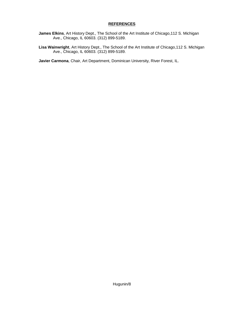#### **REFERENCES**

- **James Elkins**, Art History Dept., The School of the Art Institute of Chicago,112 S. Michigan Ave., Chicago, IL 60603. (312) 899-5189.
- **Lisa Wainwright**, Art History Dept., The School of the Art Institute of Chicago,112 S. Michigan Ave., Chicago, IL 60603. (312) 899-5189.

**Javier Carmona**, Chair, Art Department, Dominican University, River Forest, IL.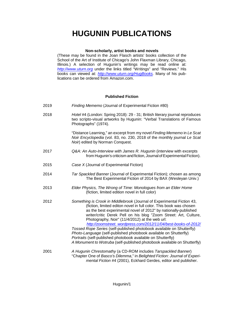#### **Non-scholarly, artist books and novels**

(These may be found in the Joan Flasch artists' books collection of the School of the Art of Institute of Chicago's John Flaxman Library, Chicago, Illinois.) A selection of Hugunin's writings may be read online at: *<http://www.uturn.org>* under the links titled "Writings" and "Reviews." His books can viewed at: *<http://www.uturn.org/HugBooks>.* Many of his publications can be ordered from Amazon.com.

#### **Published Fiction**

- 2019 *Finding Mememo* (Journal of Experimental Fiction #80)
- 2018 *Hotel* #4 (London: Spring 2018): 29 31; British literary journal reproduces two scripto-visual artworks by Hugunin: "Verbal Translations of Famous Photographs" (1974).

"Distance Learning," an excerpt from my novel *Finding Mememo* in *Le Scat Noir Encyclopedia* (vol. 83, no. 230, 2018 of the monthly journal *Le Scat Noir*) edited by Norman Conquest.

- 2017 *Q&A: An Auto-Interview with James R. Hugunin* (interview with excerpts from Hugunin's criticism and fiction, Journal of Experimental Fiction).
- 2015 *Case X* (Journal of Experimental Fiction)
- 2014 *Tar Spackled Banner* (Journal of Experimental Fiction); chosen as among The Best Experimental Fiction of 2014 by BAX (Wesleyan Univ.)
- 2013 *Elder Physics, The Wrong of Time: Monologues from an Elder Home* (fiction, limited edition novel in full color)
- 2012 *Something is Crook in Middlebrook* (Journal of Experimental Fiction 43, (fiction, limited editon novel in full color. This book was chosen as the best experimental novel of 2012" by nationally-published writer/critic Derek Pell on his blog "Zoom Street: Art, Culture, Photography, Noir" (11/4/2012) at the web url: *http://zoomstreet. [wordpress.com/2012/11/04/best-books-of-2012/](http://zoomstreet.%20%20wordpress.com/2012/11/04/best-books-of-2012/) Tossed Rope Series* (self-published photobook available on Shutterfly)

*Photo-Language* (self-published photobook available on Shutterfly) *Portraits* (self-published photobook available on Shutterfly) *A Monument to Wotruba* (self-published photobook available on Shutterfly)

2001 *A Hugunin Chrestomathy* (a CD-ROM includes *Tarspackled Banner*) "Chapter One of *Basco's Dilemma*," in *Belighted Fiction: Journal of Experimental Fiction* #4 (2001), Eckhard Gerdes, editor and publisher.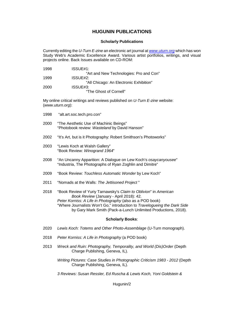#### **Scholarly Publications**

Currently editing the *U-Turn E-zine* an electronic art journal at *[www.uturn.org](http://www.uturn.org)* which has won Study Web's Academic Excellence Award. Various artist portfolios, writings, and visual projects online. Back Issues available on CD-ROM:

| 1998 | ISSUE#1:                                |
|------|-----------------------------------------|
|      | "Art and New Technologies: Pro and Con" |
| 1999 | ISSUE#2:                                |
|      | "All Chicago: An Electronic Exhibition" |
| 2000 | ISSUE#3:                                |
|      | "The Ghost of Cornell"                  |

My online critical writings and reviews published on *U-Turn E-zine* website: (*www.uturn.org*):

- 1998 "alt.art.soc.tech.pro.con"
- 2000 "The Aesthetic Use of Machinic Beings" "Photobook review: *Wasteland* by David Hanson"
- 2002 "It's Art, but is it Photography: Robert Smithson's Photoworks"
- 2003 "Lewis Koch at Walsh Gallery" "Book Review: *Winogrand 1964*"
- 2008 "An Uncanny Apparition: A Dialogue on Lew Koch's *osaycanyousee*" "Industria, The Photographs of Ryan Zoghlin and Dimitre"
- 2009 "Book Review: *Touchless Automatic Wonder* by Lew Koch"
- 2011 "Nomads at the Walls: *The Jettisoned Project* "
- 2018 "Book Review of Yuriy Tarnawsky's *Claim to Oblivion*" in *American Book Review* (January - April 2018): 42. *Peter Korniss: A Life in Photography* (also as a POD book) "Where Journalists Won't Go," introduction to *Travelogueing the Dark Side* by Gary Mark Smith (Pack-a-Lunch Unlimited Productions, 2018).

#### **Scholarly Books**:

- 2020 *Lewis Koch: Totems and Other Photo-Assemblage* (U-Turn monograph).
- 2018 *Peter Korniss: A Life in Photography* (a POD book)
- 2013 *Wreck and Ruin: Photography, Temporality, and World (Dis)Order* (Depth Charge Publishing, Geneva, IL).
	- *Writing Pictures: Case Studies in Photographic Criticism 1983 2012* (Depth Charge Publishing, Geneva, IL).
	- *3 Reviews: Susan Ressler, Ed Ruscha & Lewis Koch, Yoni Goldstein &*

Hugunin/2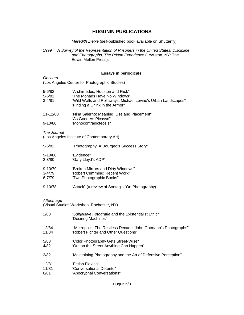*Meredith Zielke* (self-published book available on Shutterfly).

1999 *A Survey of the Representation of Prisoners in the United States: Discipline and Photographs, The Prison Experience* (Lewiston, NY: The Edwin Mellen Press).

#### **Essays in periodicals**

*Obscura* (Los Angeles Center for Photographic Studies)

| $5 - 6/82$ | "Archimedes. Houston and Flick"                                                                 |
|------------|-------------------------------------------------------------------------------------------------|
| $5 - 6/81$ | "The Monads Have No Windows"                                                                    |
| $3 - 4/81$ | "Wild Walls and Rollaways: Michael Levine's Urban Landscapes"<br>"Finding a Chink in the Armor" |

| 11-12/80    | "Nina Salerno: Meaning, Use and Placement" |
|-------------|--------------------------------------------|
|             | "As Good As Picasso"                       |
| $9 - 10/80$ | "Monocontradicteosis"                      |

*The Journal*

(Los Angeles Institute of Contemporary Art)

| $5 - 6/82$  | "Photography: A Bourgeois Success Story" |
|-------------|------------------------------------------|
| $9 - 10/80$ | "Evidence"                               |

- 2-3/80 "Gary Lloyd's ADP"
- 9-10/79 "Broken Mirrors and Dirty Windows"<br>3-4/79 "Robert Cumming: Recent Work"
- 3-4/79 "Robert Cumming: Recent Work"<br>6-7/79 "Two Photographic Books"
- "Two Photographic Books"
- 9-10/78 "Attack" (a review of Sontag's "On Photography)

#### *Afterimage*

(Visual Studies Workshop, Rochester, NY)

| 1/88  | "Subjektive Fotografie and the Existentialist Ethic"<br>"Desiring Machines" |
|-------|-----------------------------------------------------------------------------|
| 12/84 | "Metropolis: The Restless Decade: John Gutmann's Photographs"               |
| 11/84 | "Robert Fichter and Other Questions"                                        |
| 5/83  | "Color Photography Gets Street-Wise"                                        |
| 4/82  | "Out on the Street Anything Can Happen"                                     |
| 2/82  | "Maintaining Photography and the Art of Defensive Perception"               |
| 12/81 | "Fetish Flexing"                                                            |
| 11/81 | "Conversational Detente"                                                    |
| 6/81  | "Apocryphal Conversations"                                                  |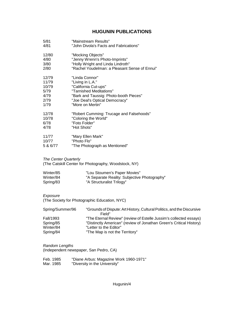| 5/81     | "Mainstream Results"                          |
|----------|-----------------------------------------------|
| 4/81     | "John Divola's Facts and Fabrications"        |
| 12/80    | "Mocking Objects"                             |
| 4/80     | "Jenny Wrenn's Photo-Imprints"                |
| 3/80     | "Holly Wright and Linda Lindroth"             |
| 2/80     | "Rachel Youdelman: a Pleasant Sense of Ennui" |
| 12/79    | "Linda Connor"                                |
| 11/79    | "Living in L.A."                              |
| 10/79    | "California Cut-ups"                          |
| 5/79     | "Tarnished Meditations"                       |
| 4/79     | "Bark and Taussig: Photo-booth Pieces"        |
| 2/79     | "Joe Deal's Optical Democracy"                |
| 1/79     | "More on Mertin"                              |
| 12/78    | "Robert Cumming: Trucage and Falsehoods"      |
| 10/78    | "Coloring the World"                          |
| 6/78     | "Foto Folder"                                 |
| 4/78     | "Hot Shots"                                   |
| 11/77    | "Mary Ellen Mark"                             |
| 10/77    | "Photo Flo"                                   |
| 5 & 6/77 | "The Photograph as Mentioned"                 |

#### *The Center Quarterly*

(The Catskill Center for Photography, Woodstock, NY)

| Winter/85 | "Lou Stoumen's Paper Movies"                 |
|-----------|----------------------------------------------|
| Winter/84 | "A Separate Reality: Subjective Photography" |
| Spring/83 | "A Structuralist Trilogy"                    |

#### *Exposure*

(The Society for Photographic Education, NYC)

| Spring/Summer/96 | "Grounds of Dispute: Art History, Cultural Politics, and the Discursive<br>Field" |
|------------------|-----------------------------------------------------------------------------------|
| Fall/1993        | "The Eternal Review" (review of Estelle Jussim's collected essays)                |
| Spring/85        | "Distinctly American" (review of Jonathan Green's Critical History)               |
| Winter/84        | "Letter to the Editor"                                                            |
| Spring/84        | "The Map is not the Territory"                                                    |

#### *Random Lengths*

(Independent newspaper, San Pedro, CA)

Feb. 1985 "Diane Arbus: Magazine Work 1960-1971" Mar. 1985 "Diversity in the University"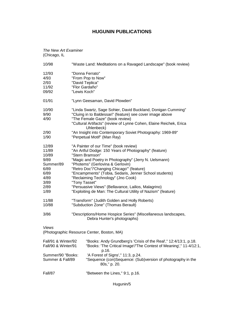#### *The New Art Examiner* (Chicago, IL

| $\sigma$ -noago, i $\epsilon$                                                                |                                                                                                                                                                                                                                                                                                                                                                                                                                                                                                      |
|----------------------------------------------------------------------------------------------|------------------------------------------------------------------------------------------------------------------------------------------------------------------------------------------------------------------------------------------------------------------------------------------------------------------------------------------------------------------------------------------------------------------------------------------------------------------------------------------------------|
| 10/98                                                                                        | "Waste Land: Meditations on a Ravaged Landscape" (book review)                                                                                                                                                                                                                                                                                                                                                                                                                                       |
| 12/93<br>4/93<br>2/93<br>11/92<br>09/92                                                      | "Donna Ferrato"<br>"From Pop to Now"<br>"David Teplica"<br>"Flor Gardaño"<br>"Lewis Koch"                                                                                                                                                                                                                                                                                                                                                                                                            |
| 01/91                                                                                        | "Lynn Geesaman, David Plowden"                                                                                                                                                                                                                                                                                                                                                                                                                                                                       |
| 10/90<br>9/90<br>4/90                                                                        | "Linda Swartz, Sage Sohier, David Buckland, Donigan Cumming"<br>"Cluing in to Baldessari" (feature) see cover image above<br>"The Female Gaze" (book review)<br>"Cultural Artifacts" (review of Lynne Cohen, Elaine Reichek, Erica<br>Uhlenbeck)                                                                                                                                                                                                                                                     |
| 2/90<br>1/90                                                                                 | "An Insight into Contemporary Soviet Photography: 1969-89"<br>"Perpetual Motif" (Man Ray)                                                                                                                                                                                                                                                                                                                                                                                                            |
| 12/89<br>11/89<br>10/89<br>9/89<br>Summer/89<br>6/89<br>6/89<br>4/89<br>3/89<br>2/89<br>1/89 | "A Painter of our Time" (book review)<br>"An Artful Dodge: 150 Years of Photography" (feature)<br>"Stern Bramson"<br>"Magic and Poetry in Photography" (Jerry N. Uelsmann)<br>"Photems" (Gerlovina & Gerlovin)<br>"Retro Doc"/'Changing Chicago'" (feature)<br>"Encampments" (Tobia, Sedaris, Jenner School students)<br>"Reclaiming Technology" (Jno Cook)<br>"Tony Tasset"<br>"Persuasive Views" (Bellavance, Lailios, Malagrino)<br>"Exploiting de Man: The Cultural Utility of Nazism" (feature) |
| 11/88<br>10/88                                                                               | "Transform" (Judith Golden and Holly Roberts)<br>"Subduction Zone" (Thomas Berault)                                                                                                                                                                                                                                                                                                                                                                                                                  |
| 3/86                                                                                         | "Descriptions/Home Hospice Series" (Miscellaneous landscapes,<br>Debra Hunter's photographs)                                                                                                                                                                                                                                                                                                                                                                                                         |
| Views                                                                                        | (Photographic Resource Center, Boston, MA)                                                                                                                                                                                                                                                                                                                                                                                                                                                           |
| Fall/91 & Winter/92<br>Fall/90 & Winter/91                                                   | "Books: Andy Grundberg's 'Crisis of the Real'," 12:4/13:1, p.18.<br>"Books: 'The Critical Image'/'The Contest of Meaning'," 11-4/12:1,<br>p.16.                                                                                                                                                                                                                                                                                                                                                      |
| Summer/90 "Books:<br>Summer & Fall/89                                                        | 'A Forest of Signs'," 11:3, p.24.<br>"Sequence (con)Sequence: (Sub)version of photography in the<br>80s," p. 20.                                                                                                                                                                                                                                                                                                                                                                                     |
| Fall/87                                                                                      | "Between the Lines," 9:1, p.16.                                                                                                                                                                                                                                                                                                                                                                                                                                                                      |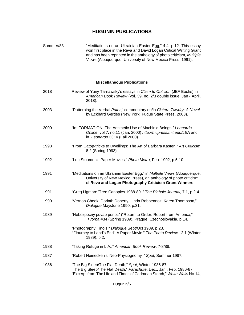Summer/83 "Meditations on an Ukrainian Easter Egg," 4:4, p.12. This essay won first place in the Reva and David Logan Critical Writing Grant and has been reprinted in the anthology of photo criticism, *Multiple Views* (Albuquerque: University of New Mexico Press, 1991).

#### **Miscellaneous Publications**

| 2018 | Review of Yuriy Tarnawsky's essays in Claim to Oblivion (JEF Books) in<br>American Book Review (vol. 39, no. 2/3 double issue, Jan - April,<br>2018).                                                   |
|------|---------------------------------------------------------------------------------------------------------------------------------------------------------------------------------------------------------|
| 2003 | "Patterning the Verbal Pater," commentary on/in Cistern Tawdry: A Novel<br>by Eckhard Gerdes (New York: Fugue State Press, 2003).                                                                       |
| 2000 | "In::FORMATION: The Aesthetic Use of Machinic Beings," Leonardo<br>Online, vol.7, no.11 (Jan. 2000) http://mitpress.mit.edu/LEA and<br>in Leonardo 33: 4 (Fall 2000).                                   |
| 1993 | "From Catop-tricks to Dwellings: The Art of Barbara Kasten," Art Criticism<br>8:2 (Spring 1993).                                                                                                        |
| 1992 | "Lou Stoumen's Paper Movies," Photo Metro, Feb. 1992, p.5-10.                                                                                                                                           |
| 1991 | "Meditations on an Ukranian Easter Egg," in Multiple Views (Albuquerque:<br>University of New Mexico Press), an anthology of photo criticism<br>of Reva and Logan Photography Criticism Grant Winners.  |
| 1991 | "Greg Ligman: 'Tree Canopies 1988-89'," The Pinhole Journal, 7:1, p.2-4.                                                                                                                                |
| 1990 | "Vernon Cheek, Dorinth Doherty, Linda Robbennolt, Karen Thompson,"<br>Dialogue May/June 1990, p.31.                                                                                                     |
| 1989 | "Nebezpecny puvab penez" ("Return to Order: Report from America,"<br>Tvorba #34 (Spring 1989), Prague, Czechoslovakia, p.14.                                                                            |
|      | "Photography Illinois," Dialogue Sept/Oct 1989, p.23.<br>" 'Journey to Land's End': A Paper Movie," The Photo Review 12:1 (Winter<br>1989), p.2.                                                        |
| 1988 | "Taking Refuge in L.A.," American Book Review, 7-8/88.                                                                                                                                                  |
| 1987 | "Robert Heinecken's 'Neo-Physiognomy'," Spot, Summer 1987.                                                                                                                                              |
| 1986 | "The Big Sleep/The Flat Death," Spot, Winter 1986-87.<br>The Big Sleep/The Flat Death," Parachute, Dec., Jan., Feb. 1986-87.<br>"Excerpt from The Life and Times of Cadmean Storch," White Walls No.14, |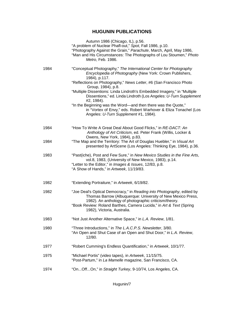|      | Autumn 1986 (Chicago, IL), p.56.<br>"A problem of Nuclear Phafl-out," Spot, Fall 1986, p.10.<br>"Photography Against the Grain," Parachute, March, April, May 1986,<br>"Man and His Circumstances: The Photographs of Lou Stoumen," Photo<br>Metro, Feb. 1986.                                       |
|------|------------------------------------------------------------------------------------------------------------------------------------------------------------------------------------------------------------------------------------------------------------------------------------------------------|
| 1984 | "Conceptual Photography," The International Center for Photography<br>Encyclopedia of Photography (New York: Crown Publishers,<br>1984), p.117.                                                                                                                                                      |
|      | "Reflections on Photography," News Letter, #6 (San Francisco Photo<br>Group, 1984), p.8.                                                                                                                                                                                                             |
|      | "Multiple Dissentions: Linda Lindroth's Embedded Imagery," in "Multiple<br>Dissentions," ed. Linda Lindroth (Los Angeles: U-Turn Supplement<br>#2, 1984).                                                                                                                                            |
|      | "In the Beginning was the Word—and then there was the Quote,"<br>in "Vortex of Envy," eds. Robert Warhover & Eliza Tonachel (Los<br>Angeles: U-Turn Supplement #1, 1984).                                                                                                                            |
| 1984 | "How To Write A Great Deal About Good Flicks," in RE-DACT: An<br>Anthology of Art Criticism, ed. Peter Frank (Willis, Locker &<br>Owens, New York, 1984), p.83.                                                                                                                                      |
| 1984 | "The Map and the Territory: The Art of Douglas Huebler," in Visual Art<br>presented by ArtScene (Los Angeles: Thinking Eye, 1984), p.36.                                                                                                                                                             |
| 1983 | "Past(iche), Post and Few Sure," in New Mexico Studies in the Fine Arts,<br>vol.8, 1983, (University of New Mexico, 1983), p.14.<br>"Letter to the Editor," in Images & Issues, 12/83, p.8.<br>"A Show of Hands," in Artweek, 11/19/83.                                                              |
| 1982 | "Extending Portraiture," in Artweek, 6/19/82.                                                                                                                                                                                                                                                        |
| 1982 | "Joe Deal's Optical Democracy," in Reading into Photography, edited by<br>Thomas Barrow (Albuquerque: University of New Mexico Press,<br>1982). An anthology of photographic criticism/theory.<br>"Book Review: Roland Barthes, Camera Lucida," in Art & Text (Spring<br>1982), Victoria, Australia. |
| 1983 | "Not Just Another Alternative Space," in L.A. Review, 1/81.                                                                                                                                                                                                                                          |
| 1980 | "Three Introductions," in The L.A.C.P.S. Newsletter, 3/80.<br>"An Open and Shut Case of an Open and Shut Door," in L.A. Review,<br>12/80.                                                                                                                                                            |
| 1977 | "Robert Cumming's Endless Quantification," in Artweek, 10/1/77.                                                                                                                                                                                                                                      |
| 1975 | "Michael Portis" (video tapes), in Artweek, 11/15/75.<br>"Post-Partum," in La Mamelle magazine, San Francisco, CA.                                                                                                                                                                                   |
| 1974 | "OnOffOn," in Straight Turkey, 9-10/74, Los Angeles, CA.                                                                                                                                                                                                                                             |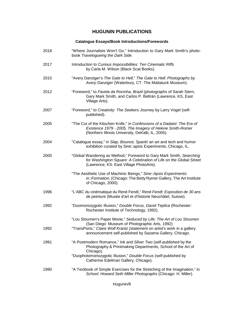#### **Catalogue Essays/Book Introductions/Forewords**

| 2018 | "Where Journalists Won't Go," Introduction to Gary Mark Smith's photo-<br>book Travelogueing the Dark Side.                                                                               |
|------|-------------------------------------------------------------------------------------------------------------------------------------------------------------------------------------------|
| 2017 | Introduction to Curious Impossibilities: Ten Cinematic Riffs<br>by Carla M. Wilson (Black Scat Books).                                                                                    |
| 2015 | "Avery Danziger's The Gate to Hell," The Gate to Hell: Photographs by<br>Avery Danziger (Waterbury, CT: The Mattatuck Museum).                                                            |
| 2012 | "Foreword," to Favela da Rocinha, Brazil (photographs of Sarah Stern,<br>Gary Mark Smith, and Carlos P. Beltrán (Lawrence, KS, East<br>Village Arts).                                     |
| 2007 | "Foreword," to Creativity: The Seekers Journey by Larry Vogel (self-<br>published).                                                                                                       |
| 2005 | "The Cut of the Kitschen Knife," in Confessions of a Dadaist: The Era of<br>Existence 1979 - 2005, The Imagery of Helene Smith-Romer<br>(Northern Illinois University, DeKalb, IL, 2005). |
| 2004 | "Catalogue essay," in Slap, Bounce, Spank! an art and tech and humor<br>exhibition curated by Sine: apsis Experiments, Chicago, IL.                                                       |
| 2000 | "Global Wandering as Method," Foreword to Gary Mark Smith, Searching<br>for Washington Square: A Celebration of Life on the Global Street<br>(Lawrence, KS: East Village PhotoArts).      |
|      | "The Aesthetic Use of Machinic Beings," Sine::Apsis Experiments:<br>in::Formation, (Chicago: The Betty Rymer Gallery, The Art Institute<br>of Chicago, 2000).                             |
| 1996 | "L'ABC du cinématique du René Fendt," René Fendt: Exposition de 30 ans<br>de peinture (Musée d'art et d'historie Neuchâtel, Suisse).                                                      |
| 1992 | "Duomonozygotic Illusion," Double Focus, David Teplica (Rochester:<br>Rochester Institute of Technology, 1992).                                                                           |
|      | "Lou Stoumen's Paper Movie," Seduced by Life: The Art of Lou Stoumen                                                                                                                      |
| 1992 | (San Diego: Museum of Photographic Arts, 1992)<br>"TransPorts," Claire Wolf Krantz (statement on artist's work in a gallery<br>announcement self-published by Sazama Gallery, Chicago.    |
| 1991 | "A Postmodern Romance," Ink and Silver Two (self-published by the<br>Photography & Printmaking Departments, School of the Art of<br>Chicago).                                             |
|      | "Duophotomonozygotic Illusion," Double Focus (self-published by<br>Catherine Edelman Gallery, Chicago).                                                                                   |
| 1990 | "A Textbook of Simple Exercises for the Stretching of the Imagination," in<br>School: Howard Seth Miller Photographs (Chicago: H. Miller).                                                |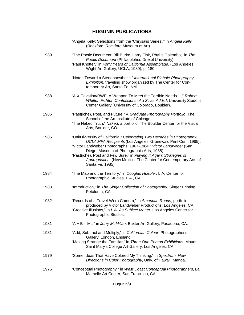|      | "Angela Kelly: Selections from the 'Chrysalis Series'," in Angela Kelly<br>(Rockford: Rockford Museum of Art).                                                                                                                                                                                                                                                                                                           |
|------|--------------------------------------------------------------------------------------------------------------------------------------------------------------------------------------------------------------------------------------------------------------------------------------------------------------------------------------------------------------------------------------------------------------------------|
| 1989 | "The Poetic Document: Bill Burke, Larry Fink, Phyllis Galembo," in The<br>Poetic Document (Philadelphia: Drexel University).<br>"Paul Knotter," in Forty Years of California Assemblage, (Los Angeles:<br>Wight Art Gallery, UCLA, 1989), p. 180.                                                                                                                                                                        |
|      | "Notes Toward a Stenopaesthetic," International Pinhole Photography<br>Exhibition, traveling show organized by The Center for Con-<br>temporary Art, Santa Fe, NM.                                                                                                                                                                                                                                                       |
| 1988 | "A X Cavation/RWF: A Weapon To Meet the Terrible Needs ," Robert<br>Whitten Fichter: Confessions of a Silver Addic!, University Student<br>Center Gallery (University of Colorado, Boulder).                                                                                                                                                                                                                             |
| 1986 | "Past(iche), Post, and Future," A Graduate Photography Portfolio, The<br>School of the Art Institute of Chicago.<br>"The Naked Truth," Naked, a portfolio, The Boulder Center for the Visual<br>Arts, Boulder, CO.                                                                                                                                                                                                       |
| 1985 | "Uni/Di-Versity of California," Celebrating Two Decades in Photography:<br>UCLA MFA Recipients (Los Angeles: Grunewald Print Cen., 1985).<br>"Victor Landweber Photographs: 1967-1984," Victor Landweber (San<br>Diego: Museum of Photographic Arts, 1985).<br>"Past(iche), Post and Few Sure," in Playing It Again: Strategies of<br>Appropriation (New Mexico: The Center for Contemporary Arts of<br>Santa Fe, 1985). |
| 1984 | "The Map and the Territory," in Douglas Huebler, L.A. Center for<br>Photographic Studies, L.A., CA.                                                                                                                                                                                                                                                                                                                      |
| 1983 | "Introduction," in The Singer Collection of Photography, Singer Printing,<br>Petaluma, CA.                                                                                                                                                                                                                                                                                                                               |
| 1982 | "Records of a Travel-Worn Camera," in American Roads, portfolio<br>produced by Victor Landweber Productions, Los Angeles, CA.<br>"Creative Illusions," in L.A. As Subject Matter, Los Angeles Center for<br>Photographic Studies.                                                                                                                                                                                        |
| 1981 | "A + B = Mc," in Jerry McMillan, Baxter Art Gallery, Pasadena, CA.                                                                                                                                                                                                                                                                                                                                                       |
| 1981 | "Add, Subtract and Multiply," in Californian Colour, Photographer's<br>Gallery, London, England.<br>"Making Strange the Familiar," in Three One Person Exhibitions, Mount<br>Saint Mary's College Art Gallery, Los Angeles, CA.                                                                                                                                                                                          |
| 1979 | "Some Ideas That Have Colored My Thinking," in Spectrum: New<br>Directions in Color Photography, Univ. of Hawaii, Manoa.                                                                                                                                                                                                                                                                                                 |
| 1976 | "Conceptual Photography," in West Coast Conceptual Photographers, La<br>Mamelle Art Center, San Francisco, CA.                                                                                                                                                                                                                                                                                                           |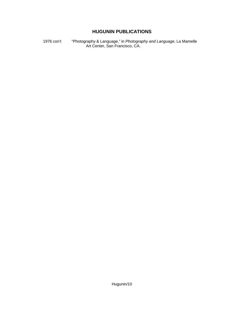1976 con't "Photography & Language," in *Photography and Language*, La Mamelle Art Center, San Francisco, CA.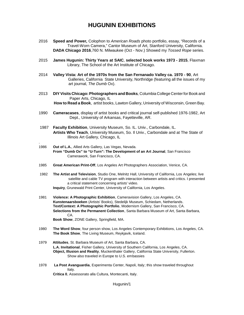## **HUGUNIN EXHIBITIONS**

- 2016 **Speed and Power***,* Colophon to *American Roads* photo portfolio, essay, "Records of a Travel-Worn Camera," Cantor Museum of Art, Stanford University, California. **DADA Chicago 2016**,760 N. Milwaukee (Oct - Nov.) Showed my *Tossed Rope* series.
- 2015 **James Hugunin: Thirty Years at SAIC**, **selected book works 1973 2015**, Flaxman Library, The School of the Art Institute of Chicago.
- 2014 **Valley Vista: Art of the 1970s from the San Fernanado Valley ca. 1970 90**, Art Galleries, California State University, Northridge (featuring all the issues of my art journal, *The Dumb* Ox).
- 2013 **DIYVisits Chicago: Photographers and Books***,* Columbia College Center for Book and Paper Arts, Chicago, IL **How to Read a Book**, artist books, Lawton Gallery, University of Wisconsin, Green Bay.
- 1990 **Cameracases**, display of artist books and critical journal self-published 1976-1982, Art Dept., University of Arkansas, Fayetteville, AR.
- 1987 **Faculty Exhibition**, University Museum, So. IL. Univ., Carbondale, IL. **Artists Who Teach**, University Museum, So. Il Univ., Carbondale and at The State of Illinois Art Gallery, Chicago, IL
- 1986 **Out of L.A.**, Allied Arts Gallery, Las Vegas, Nevada. **From "Dumb Ox" to "U-Turn": The Development of an Art Journal**, San Francisco Camerawork, San Francisco, CA.
- 1985 **Great American Print-Off**, Los Angeles Art Photographers Association, Venice, CA.
- 1982 **The Artist and Television**, Studio One, Melnitz Hall, University of California, Los Angeles; live satellite and cable TV program with interaction between artists and critics. I presented a critical statement concerning artists' video.

**Inquiry**, Grunewald Print Center, University of California, Los Angeles.

1981 **Violence: A Photographic Exhibition**, Cameravision Gallery, Los Angeles, CA. **Kunstenaarsboeken** (Artists' Books), Stedelijk Museum, Schiedam, Netherlands. **Text/Context: A Photographic Portfolio**, Modernism Gallery, San Francisco, CA. **Selections from the Permanent Collection**, Santa Barbara Museum of Art, Santa Barbara, CA.

**Book Show**, ZONE Gallery, Springfield, MA.

.

- 1980 **The Word Show**, four person show, Los Angeles Contemporary Exhibitions, Los Angeles, CA. **The Book Show**, The Living Museum, Reykjavik, Iceland.
- 1979 **Attitudes**, St. Barbara Museum of Art, Santa Barbara, CA. **L.A. Invitational**, Fisher Gallery, University of Southern California, Los Angeles, CA. **Object, Illusion and Reality**, Muckenthaler Gallery, California State University, Fullerton. Show also traveled in Europe to U.S. embassies
- 1978 **La Post Avanguardia**, Experimenta Center, Napoli, Italy; this show traveled throughout Italy. **Critica 0**, Assessorato alla Cultura, Montecanti, Italy.

Hugunin/1